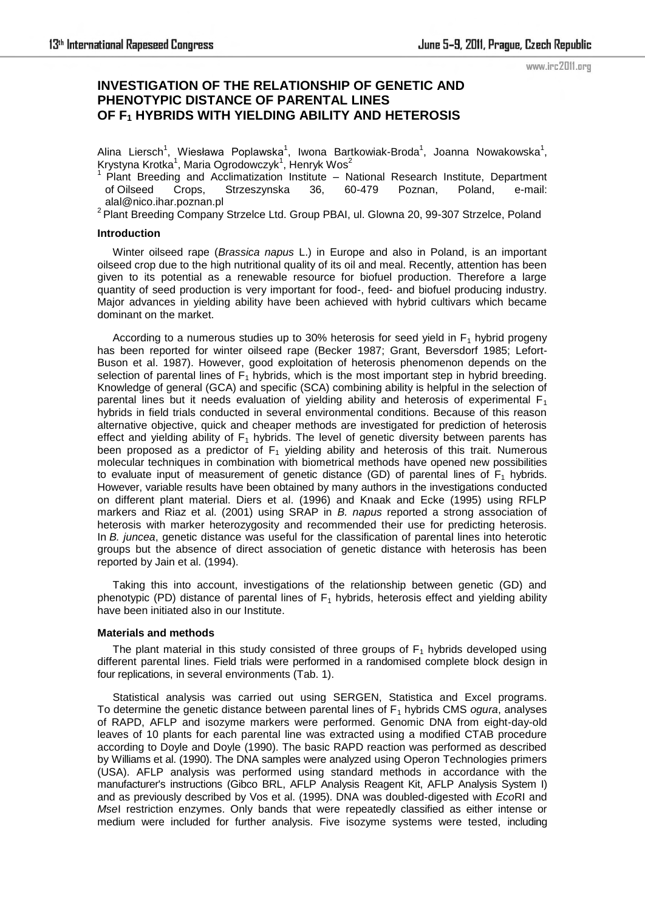### www.irc2011.org

# **INVESTIGATION OF THE RELATIONSHIP OF GENETIC AND PHENOTYPIC DISTANCE OF PARENTAL LINES OF F1 HYBRIDS WITH YIELDING ABILITY AND HETEROSIS**

Alina Liersch<sup>1</sup>, Wiesława Poplawska<sup>1</sup>, Iwona Bartkowiak-Broda<sup>1</sup>, Joanna Nowakowska<sup>1</sup>, Krystyna Krotka<sup>1</sup>, Maria Ogrodowczyk<sup>1</sup>, Henryk Wos<sup>2</sup>

<sup>1</sup>Plant Breeding and Acclimatization Institute – National Research Institute, Department of Oilseed Crops, Strzeszynska 36, 60-479 Poznan, Poland, e-mail: alal@nico.ihar.poznan.pl

 $2$  Plant Breeding Company Strzelce Ltd. Group PBAI, ul. Glowna 20, 99-307 Strzelce, Poland

### **Introduction**

Winter oilseed rape (*Brassica napus* L.) in Europe and also in Poland, is an important oilseed crop due to the high nutritional quality of its oil and meal. Recently, attention has been given to its potential as a renewable resource for biofuel production. Therefore a large quantity of seed production is very important for food-, feed- and biofuel producing industry. Major advances in yielding ability have been achieved with hybrid cultivars which became dominant on the market.

According to a numerous studies up to 30% heterosis for seed yield in  $F_1$  hybrid progeny has been reported for winter oilseed rape (Becker 1987; Grant, Beversdorf 1985; Lefort-Buson et al. 1987). However, good exploitation of heterosis phenomenon depends on the selection of parental lines of  $F_1$  hybrids, which is the most important step in hybrid breeding. Knowledge of general (GCA) and specific (SCA) combining ability is helpful in the selection of parental lines but it needs evaluation of yielding ability and heterosis of experimental  $F_1$ hybrids in field trials conducted in several environmental conditions. Because of this reason alternative objective, quick and cheaper methods are investigated for prediction of heterosis effect and yielding ability of  $F_1$  hybrids. The level of genetic diversity between parents has been proposed as a predictor of  $F_1$  yielding ability and heterosis of this trait. Numerous molecular techniques in combination with biometrical methods have opened new possibilities to evaluate input of measurement of genetic distance (GD) of parental lines of  $F_1$  hybrids. However, variable results have been obtained by many authors in the investigations conducted on different plant material. Diers et al. (1996) and Knaak and Ecke (1995) using RFLP markers and Riaz et al. (2001) using SRAP in *B. napus* reported a strong association of heterosis with marker heterozygosity and recommended their use for predicting heterosis. In *B. juncea*, genetic distance was useful for the classification of parental lines into heterotic groups but the absence of direct association of genetic distance with heterosis has been reported by Jain et al. (1994).

Taking this into account, investigations of the relationship between genetic (GD) and phenotypic (PD) distance of parental lines of  $F_1$  hybrids, heterosis effect and yielding ability have been initiated also in our Institute.

#### **Materials and methods**

The plant material in this study consisted of three groups of  $F_1$  hybrids developed using different parental lines. Field trials were performed in a randomised complete block design in four replications, in several environments (Tab. 1).

Statistical analysis was carried out using SERGEN, Statistica and Excel programs. To determine the genetic distance between parental lines of  $F_1$  hybrids CMS *ogura*, analyses of RAPD, AFLP and isozyme markers were performed. Genomic DNA from eight-day-old leaves of 10 plants for each parental line was extracted using a modified CTAB procedure according to Doyle and Doyle (1990). The basic RAPD reaction was performed as described by Williams et al. (1990). The DNA samples were analyzed using Operon Technologies primers (USA). AFLP analysis was performed using standard methods in accordance with the manufacturer's instructions (Gibco BRL, AFLP Analysis Reagent Kit, AFLP Analysis System I) and as previously described by Vos et al. (1995). DNA was doubled-digested with *Eco*RI and *Mse*I restriction enzymes. Only bands that were repeatedly classified as either intense or medium were included for further analysis. Five isozyme systems were tested, including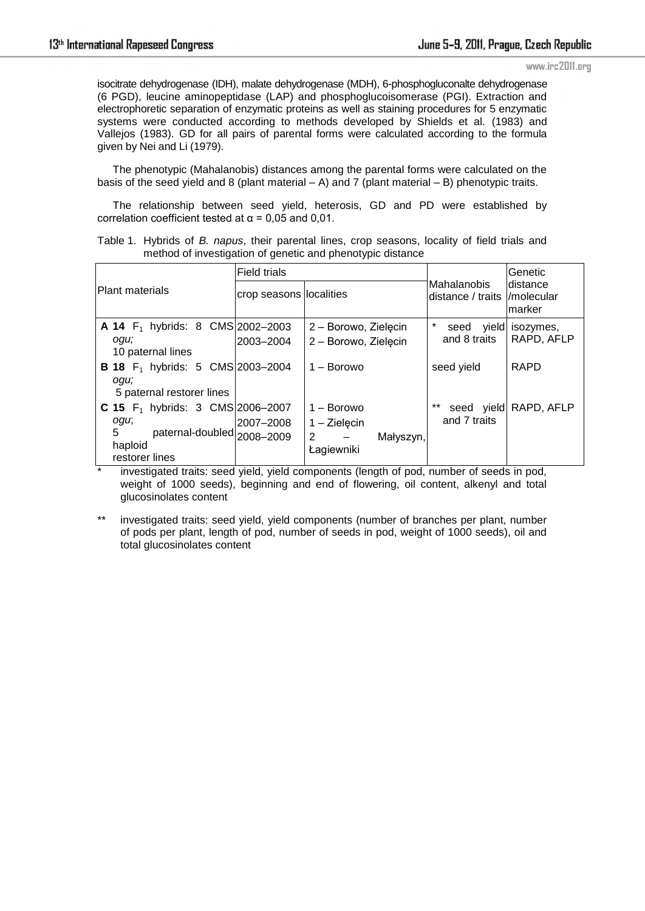#### www.irc2011.org

isocitrate dehydrogenase (IDH), malate dehydrogenase (MDH), 6-phosphogluconalte dehydrogenase (6 PGD), leucine aminopeptidase (LAP) and phosphoglucoisomerase (PGI). Extraction and electrophoretic separation of enzymatic proteins as well as staining procedures for 5 enzymatic systems were conducted according to methods developed by Shields et al. (1983) and Vallejos (1983). GD for all pairs of parental forms were calculated according to the formula given by Nei and Li (1979).

The phenotypic (Mahalanobis) distances among the parental forms were calculated on the basis of the seed yield and 8 (plant material  $- A$ ) and 7 (plant material  $- B$ ) phenotypic traits.

The relationship between seed yield, heterosis, GD and PD were established by correlation coefficient tested at  $\alpha$  = 0,05 and 0,01.

|  |  |  |  | Table 1. Hybrids of B. napus, their parental lines, crop seasons, locality of field trials and |  |  |  |
|--|--|--|--|------------------------------------------------------------------------------------------------|--|--|--|
|  |  |  |  | method of investigation of genetic and phenotypic distance                                     |  |  |  |

|                                                              | <b>Field trials</b>     |                                                                |                                              | Genetic<br>ldistance<br>Imarker |  |
|--------------------------------------------------------------|-------------------------|----------------------------------------------------------------|----------------------------------------------|---------------------------------|--|
| Plant materials                                              | crop seasons localities |                                                                | Mahalanobis<br>distance / traits //molecular |                                 |  |
| <b>A 14</b> $F_1$ hybrids: 8 CMS 2002-2003                   |                         | 2 - Borowo, Zielęcin                                           | $\star$<br>seed<br>yield                     | isozymes,                       |  |
| ogu;<br>10 paternal lines                                    | 2003-2004               | 2 - Borowo, Zielecin                                           | and 8 traits                                 | RAPD, AFLP                      |  |
| <b>B 18</b> $F_1$ hybrids: 5 CMS 2003-2004<br>ogu;           |                         | 1 – Borowo                                                     | seed yield                                   | <b>RAPD</b>                     |  |
| 5 paternal restorer lines                                    |                         |                                                                |                                              |                                 |  |
| <b>C 15</b> $F_1$ hybrids: 3 CMS 2006-2007                   |                         | $1 - B$ orowo                                                  | $***$<br>seed yield                          | RAPD, AFLP                      |  |
| ogu;                                                         | 2007–2008               | $1 - Zielecin$                                                 | and 7 traits                                 |                                 |  |
| 5<br>paternal-doubled 2008-2009<br>haploid<br>restorer lines |                         | $\overline{2}$<br>Małyszyn,<br>$\qquad \qquad -$<br>Łagiewniki |                                              |                                 |  |

investigated traits: seed yield, yield components (length of pod, number of seeds in pod, weight of 1000 seeds), beginning and end of flowering, oil content, alkenyl and total glucosinolates content

\*\* investigated traits: seed yield, yield components (number of branches per plant, number of pods per plant, length of pod, number of seeds in pod, weight of 1000 seeds), oil and total glucosinolates content